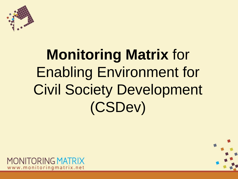

## **Monitoring Matrix** for Enabling Environment for Civil Society Development (CSDev)



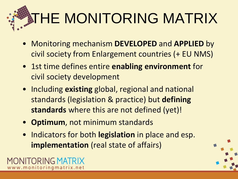# **STHE MONITORING MATRIX**

- Monitoring mechanism **DEVELOPED** and **APPLIED** by civil society from Enlargement countries (+ EU NMS)
- 1st time defines entire **enabling environment** for civil society development
- Including **existing** global, regional and national standards (legislation & practice) but **defining standards** where this are not defined (yet)!
- **Optimum**, not minimum standards
- Indicators for both **legislation** in place and esp. **implementation** (real state of affairs)

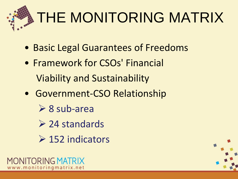# **STHE MONITORING MATRIX**

- Basic Legal Guarantees of Freedoms
- Framework for CSOs' Financial Viability and Sustainability
- Government-CSO Relationship
	- $\geq 8$  sub-area
	- $\geq$  24 standards
	- $\geq$  152 indicators

**NITORING MAT** www.monitoringmatrix.net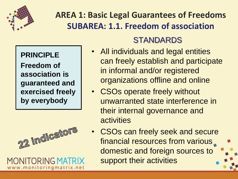

## **AREA 1: Basic Legal Guarantees of Freedoms SUBAREA: 1.1. Freedom of association** STANDARDS

#### **PRINCIPLE**

**Freedom of association is guaranteed and exercised freely by everybody**



#### **MONITORING MATE** www.monitoringmatrix.net

- All individuals and legal entities can freely establish and participate in informal and/or registered organizations offline and online
- CSOs operate freely without unwarranted state interference in their internal governance and activities
- CSOs can freely seek and secure financial resources from various domestic and foreign sources to support their activities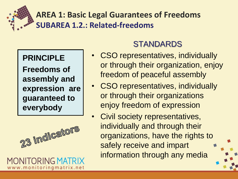

**AREA 1: Basic Legal Guarantees of Freedoms SUBAREA 1.2.: Related-freedoms**

**PRINCIPLE**

**Freedoms of assembly and expression are guaranteed to everybody**



**MONITORING MA** www.monitoringmatrix.net

- CSO representatives, individually or through their organization, enjoy freedom of peaceful assembly
- CSO representatives, individually or through their organizations enjoy freedom of expression
- Civil society representatives, individually and through their organizations, have the rights to safely receive and impart information through any media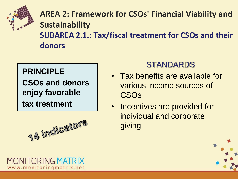

**AREA 2: Framework for CSOs' Financial Viability and Sustainability SUBAREA 2.1.: Tax/fiscal treatment for CSOs and their donors**

#### **PRINCIPLE**

**CSOs and donors enjoy favorable** 

**tax treatment**



## **STANDARDS**

- Tax benefits are available for various income sources of CSOs
- Incentives are provided for individual and corporate giving



**MONITORING MATRIX** www.monitoringmatrix.net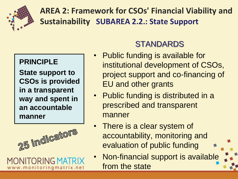

**AREA 2: Framework for CSOs' Financial Viability and Sustainability SUBAREA 2.2.: State Support**

#### **PRINCIPLE**

**State support to CSOs is provided in a transparent way and spent in an accountable manner**



#### **MONITORING MAT** www.monitoringmatrix.net

- Public funding is available for institutional development of CSOs, project support and co-financing of EU and other grants
- Public funding is distributed in a prescribed and transparent manner
- There is a clear system of accountability, monitoring and evaluation of public funding
- Non-financial support is available from the state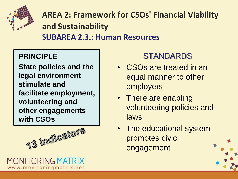

**AREA 2: Framework for CSOs' Financial Viability and Sustainability SUBAREA 2.3.: Human Resources**

#### **PRINCIPLE**

**State policies and the legal environment stimulate and facilitate employment, volunteering and other engagements with CSOs**



#### **MONITORING MATRIX** www.monitoringmatrix.net

- CSOs are treated in an equal manner to other employers
- There are enabling volunteering policies and laws
- The educational system promotes civic engagement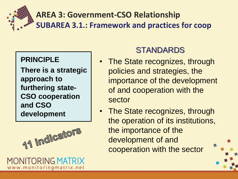

**AREA 3: Government-CSO Relationship SUBAREA 3.1.: Framework and practices for coop**

#### **PRINCIPLE**

**There is a strategic approach to furthering state-CSO cooperation and CSO development**



#### **MONITORING MATE** www.monitoringmatrix.net

- The State recognizes, through policies and strategies, the importance of the development of and cooperation with the sector
- The State recognizes, through the operation of its institutions, the importance of the development of and cooperation with the sector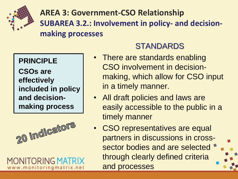

**AREA 3: Government-CSO Relationship SUBAREA 3.2.: Involvement in policy- and decisionmaking processes**

#### **PRINCIPLE**

**CSOs are effectively included in policy and decisionmaking process**



#### **MONITORING MATF** www.monitoringmatrix.net

- There are standards enabling CSO involvement in decisionmaking, which allow for CSO input in a timely manner.
- All draft policies and laws are easily accessible to the public in a timely manner
- CSO representatives are equal partners in discussions in crosssector bodies and are selected through clearly defined criteria and processes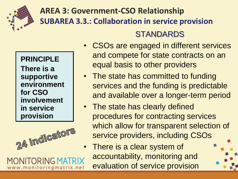

## **AREA 3: Government-CSO Relationship SUBAREA 3.3.: Collaboration in service provision** STANDARDS

**PRINCIPLE There is a supportive environment** 

**for CSO involvement in service provision**



**MONITORING MAT** www.monitoringmatrix.net

- CSOs are engaged in different services and compete for state contracts on an equal basis to other providers
- The state has committed to funding services and the funding is predictable and available over a longer-term period
- The state has clearly defined procedures for contracting services which allow for transparent selection of service providers, including CSOs
- There is a clear system of accountability, monitoring and evaluation of service provision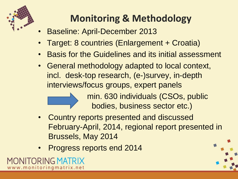

## **Monitoring & Methodology**

- Baseline: April-December 2013
- Target: 8 countries (Enlargement + Croatia)
- Basis for the Guidelines and its initial assessment
- General methodology adapted to local context, incl. desk-top research, (e-)survey, in-depth interviews/focus groups, expert panels



 min. 630 individuals (CSOs, public bodies, business sector etc.)

- Country reports presented and discussed February-April, 2014, regional report presented in Brussels, May 2014
- Progress reports end 2014



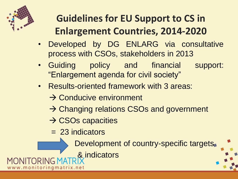

## **Guidelines for EU Support to CS in Enlargement Countries, 2014-2020**

- Developed by DG ENLARG via consultative process with CSOs, stakeholders in 2013
- Guiding policy and financial support: "Enlargement agenda for civil society"
- Results-oriented framework with 3 areas:
	- $\rightarrow$  Conducive environment
	- **→ Changing relations CSOs and government**
	- $\rightarrow$  CSOs capacities
	- = 23 indicators

www.monitoringmatrix.net

- Development of country-specific targets
	- & indicators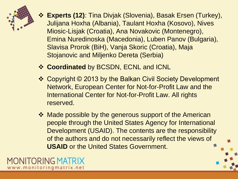

- **Experts (12)**: Tina Divjak (Slovenia), Basak Ersen (Turkey), Julijana Hoxha (Albania), Taulant Hoxha (Kosovo), Nives Miosic-Lisjak (Croatia), Ana Novakovic (Montenegro), Emina Nuredinoska (Macedonia), Luben Panov (Bulgaria), Slavisa Prorok (BiH), Vanja Skoric (Croatia), Maja Stojanovic and Miljenko Dereta (Serbia)
- **Coordinated** by BCSDN, ECNL and ICNL
- ❖ Copyright © 2013 by the Balkan Civil Society Development Network, European Center for Not-for-Profit Law and the International Center for Not-for-Profit Law. All rights reserved.
- ❖ Made possible by the generous support of the American people through the United States Agency for International Development (USAID). The contents are the responsibility of the authors and do not necessarily reflect the views of **USAID** or the United States Government.